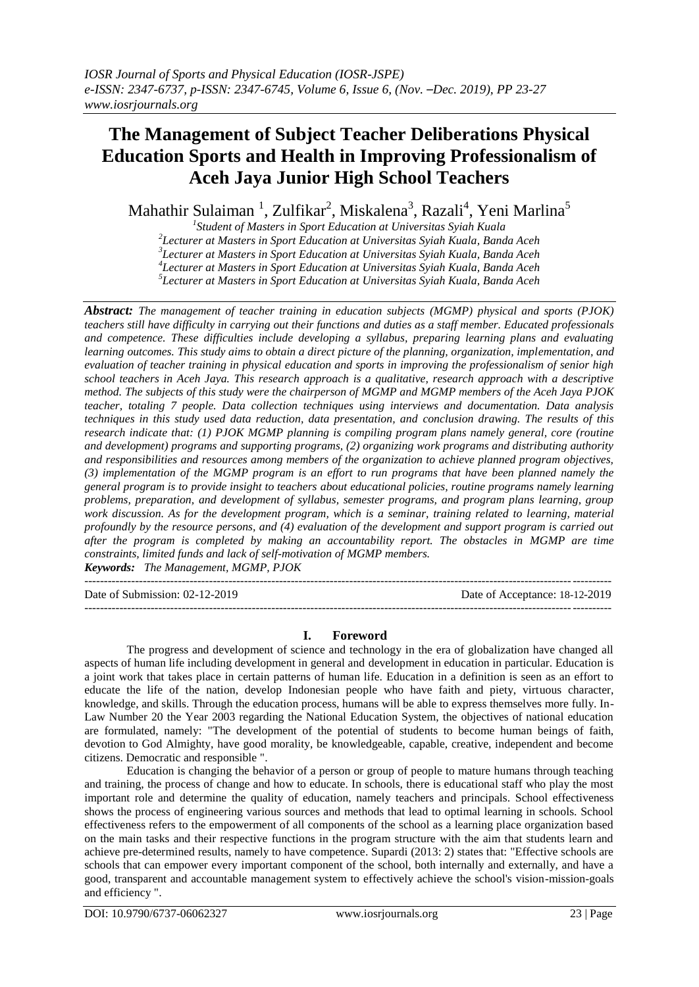# **The Management of Subject Teacher Deliberations Physical Education Sports and Health in Improving Professionalism of Aceh Jaya Junior High School Teachers**

Mahathir Sulaiman  $^1$ , Zulfikar $^2$ , Miskalena $^3$ , Razali $^4$ , Yeni Marlina $^5$ 

 *Student of Masters in Sport Education at Universitas Syiah Kuala Lecturer at Masters in Sport Education at Universitas Syiah Kuala, Banda Aceh Lecturer at Masters in Sport Education at Universitas Syiah Kuala, Banda Aceh Lecturer at Masters in Sport Education at Universitas Syiah Kuala, Banda Aceh Lecturer at Masters in Sport Education at Universitas Syiah Kuala, Banda Aceh*

*Abstract: The management of teacher training in education subjects (MGMP) physical and sports (PJOK) teachers still have difficulty in carrying out their functions and duties as a staff member. Educated professionals and competence. These difficulties include developing a syllabus, preparing learning plans and evaluating learning outcomes. This study aims to obtain a direct picture of the planning, organization, implementation, and evaluation of teacher training in physical education and sports in improving the professionalism of senior high school teachers in Aceh Jaya. This research approach is a qualitative, research approach with a descriptive method. The subjects of this study were the chairperson of MGMP and MGMP members of the Aceh Jaya PJOK teacher, totaling 7 people. Data collection techniques using interviews and documentation. Data analysis techniques in this study used data reduction, data presentation, and conclusion drawing. The results of this research indicate that: (1) PJOK MGMP planning is compiling program plans namely general, core (routine and development) programs and supporting programs, (2) organizing work programs and distributing authority and responsibilities and resources among members of the organization to achieve planned program objectives, (3) implementation of the MGMP program is an effort to run programs that have been planned namely the general program is to provide insight to teachers about educational policies, routine programs namely learning problems, preparation, and development of syllabus, semester programs, and program plans learning, group work discussion. As for the development program, which is a seminar, training related to learning, material profoundly by the resource persons, and (4) evaluation of the development and support program is carried out after the program is completed by making an accountability report. The obstacles in MGMP are time constraints, limited funds and lack of self-motivation of MGMP members. Keywords: The Management, MGMP, PJOK*

--------------------------------------------------------------------------------------------------------------------------------------- Date of Submission: 02-12-2019 Date of Acceptance: 18-12-2019 ---------------------------------------------------------------------------------------------------------------------------------------

# **I. Foreword**

The progress and development of science and technology in the era of globalization have changed all aspects of human life including development in general and development in education in particular. Education is a joint work that takes place in certain patterns of human life. Education in a definition is seen as an effort to educate the life of the nation, develop Indonesian people who have faith and piety, virtuous character, knowledge, and skills. Through the education process, humans will be able to express themselves more fully. In-Law Number 20 the Year 2003 regarding the National Education System, the objectives of national education are formulated, namely: "The development of the potential of students to become human beings of faith, devotion to God Almighty, have good morality, be knowledgeable, capable, creative, independent and become citizens. Democratic and responsible ".

Education is changing the behavior of a person or group of people to mature humans through teaching and training, the process of change and how to educate. In schools, there is educational staff who play the most important role and determine the quality of education, namely teachers and principals. School effectiveness shows the process of engineering various sources and methods that lead to optimal learning in schools. School effectiveness refers to the empowerment of all components of the school as a learning place organization based on the main tasks and their respective functions in the program structure with the aim that students learn and achieve pre-determined results, namely to have competence. Supardi (2013: 2) states that: "Effective schools are schools that can empower every important component of the school, both internally and externally, and have a good, transparent and accountable management system to effectively achieve the school's vision-mission-goals and efficiency ".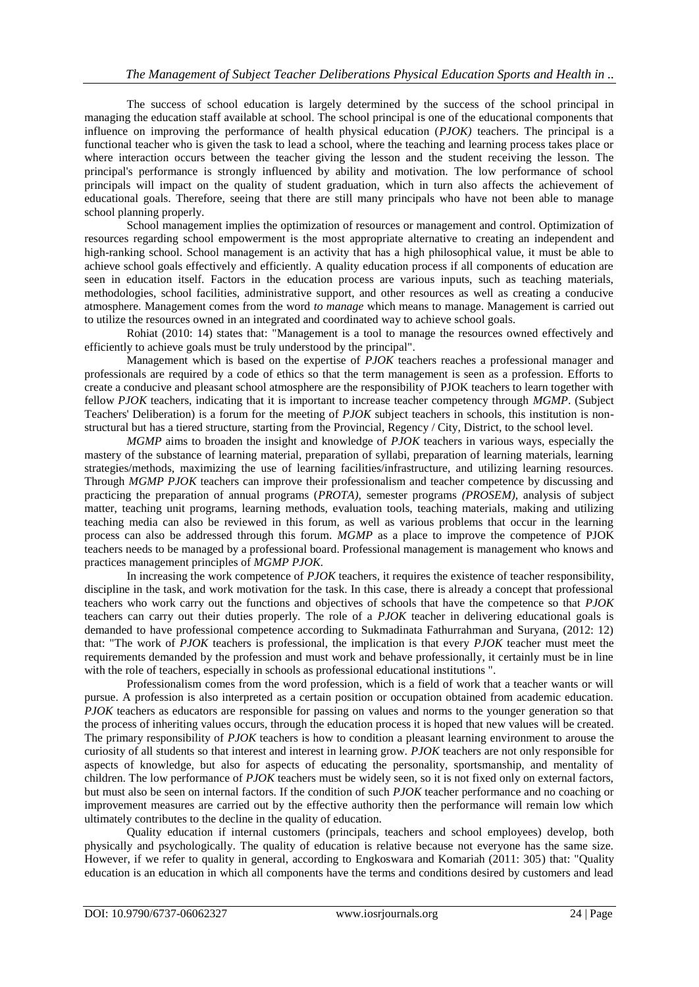The success of school education is largely determined by the success of the school principal in managing the education staff available at school. The school principal is one of the educational components that influence on improving the performance of health physical education (*PJOK)* teachers. The principal is a functional teacher who is given the task to lead a school, where the teaching and learning process takes place or where interaction occurs between the teacher giving the lesson and the student receiving the lesson. The principal's performance is strongly influenced by ability and motivation. The low performance of school principals will impact on the quality of student graduation, which in turn also affects the achievement of educational goals. Therefore, seeing that there are still many principals who have not been able to manage school planning properly.

School management implies the optimization of resources or management and control. Optimization of resources regarding school empowerment is the most appropriate alternative to creating an independent and high-ranking school. School management is an activity that has a high philosophical value, it must be able to achieve school goals effectively and efficiently. A quality education process if all components of education are seen in education itself. Factors in the education process are various inputs, such as teaching materials, methodologies, school facilities, administrative support, and other resources as well as creating a conducive atmosphere. Management comes from the word *to manage* which means to manage. Management is carried out to utilize the resources owned in an integrated and coordinated way to achieve school goals.

Rohiat (2010: 14) states that: "Management is a tool to manage the resources owned effectively and efficiently to achieve goals must be truly understood by the principal".

Management which is based on the expertise of *PJOK* teachers reaches a professional manager and professionals are required by a code of ethics so that the term management is seen as a profession. Efforts to create a conducive and pleasant school atmosphere are the responsibility of PJOK teachers to learn together with fellow *PJOK* teachers, indicating that it is important to increase teacher competency through *MGMP*. (Subject Teachers' Deliberation) is a forum for the meeting of *PJOK* subject teachers in schools, this institution is nonstructural but has a tiered structure, starting from the Provincial, Regency / City, District, to the school level.

*MGMP* aims to broaden the insight and knowledge of *PJOK* teachers in various ways, especially the mastery of the substance of learning material, preparation of syllabi, preparation of learning materials, learning strategies/methods, maximizing the use of learning facilities/infrastructure, and utilizing learning resources. Through *MGMP PJOK* teachers can improve their professionalism and teacher competence by discussing and practicing the preparation of annual programs (*PROTA),* semester programs *(PROSEM),* analysis of subject matter, teaching unit programs, learning methods, evaluation tools, teaching materials, making and utilizing teaching media can also be reviewed in this forum, as well as various problems that occur in the learning process can also be addressed through this forum. *MGMP* as a place to improve the competence of PJOK teachers needs to be managed by a professional board. Professional management is management who knows and practices management principles of *MGMP PJOK.*

In increasing the work competence of *PJOK* teachers, it requires the existence of teacher responsibility, discipline in the task, and work motivation for the task. In this case, there is already a concept that professional teachers who work carry out the functions and objectives of schools that have the competence so that *PJOK*  teachers can carry out their duties properly. The role of a *PJOK* teacher in delivering educational goals is demanded to have professional competence according to Sukmadinata Fathurrahman and Suryana, (2012: 12) that: "The work of *PJOK* teachers is professional, the implication is that every *PJOK* teacher must meet the requirements demanded by the profession and must work and behave professionally, it certainly must be in line with the role of teachers, especially in schools as professional educational institutions ".

Professionalism comes from the word profession, which is a field of work that a teacher wants or will pursue. A profession is also interpreted as a certain position or occupation obtained from academic education. *PJOK* teachers as educators are responsible for passing on values and norms to the younger generation so that the process of inheriting values occurs, through the education process it is hoped that new values will be created. The primary responsibility of *PJOK* teachers is how to condition a pleasant learning environment to arouse the curiosity of all students so that interest and interest in learning grow. *PJOK* teachers are not only responsible for aspects of knowledge, but also for aspects of educating the personality, sportsmanship, and mentality of children. The low performance of *PJOK* teachers must be widely seen, so it is not fixed only on external factors, but must also be seen on internal factors. If the condition of such *PJOK* teacher performance and no coaching or improvement measures are carried out by the effective authority then the performance will remain low which ultimately contributes to the decline in the quality of education.

Quality education if internal customers (principals, teachers and school employees) develop, both physically and psychologically. The quality of education is relative because not everyone has the same size. However, if we refer to quality in general, according to Engkoswara and Komariah (2011: 305) that: "Quality education is an education in which all components have the terms and conditions desired by customers and lead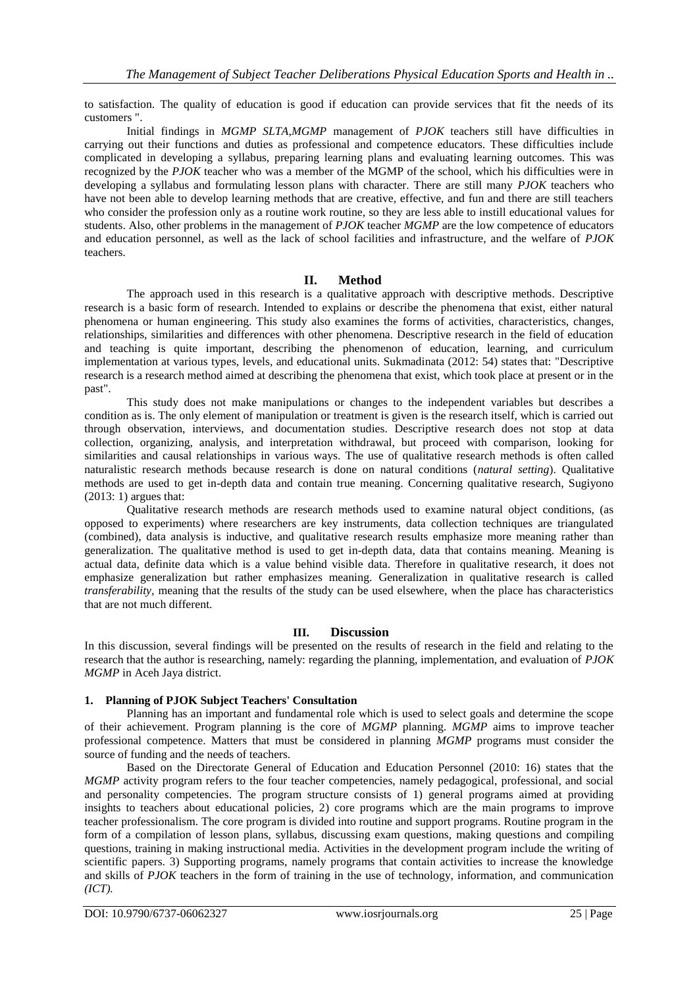to satisfaction. The quality of education is good if education can provide services that fit the needs of its customers ".

Initial findings in *MGMP SLTA,MGMP* management of *PJOK* teachers still have difficulties in carrying out their functions and duties as professional and competence educators. These difficulties include complicated in developing a syllabus, preparing learning plans and evaluating learning outcomes. This was recognized by the *PJOK* teacher who was a member of the MGMP of the school, which his difficulties were in developing a syllabus and formulating lesson plans with character. There are still many *PJOK* teachers who have not been able to develop learning methods that are creative, effective, and fun and there are still teachers who consider the profession only as a routine work routine, so they are less able to instill educational values for students. Also, other problems in the management of *PJOK* teacher *MGMP* are the low competence of educators and education personnel, as well as the lack of school facilities and infrastructure, and the welfare of *PJOK* teachers.

## **II. Method**

The approach used in this research is a qualitative approach with descriptive methods. Descriptive research is a basic form of research. Intended to explains or describe the phenomena that exist, either natural phenomena or human engineering. This study also examines the forms of activities, characteristics, changes, relationships, similarities and differences with other phenomena. Descriptive research in the field of education and teaching is quite important, describing the phenomenon of education, learning, and curriculum implementation at various types, levels, and educational units. Sukmadinata (2012: 54) states that: "Descriptive research is a research method aimed at describing the phenomena that exist, which took place at present or in the past".

This study does not make manipulations or changes to the independent variables but describes a condition as is. The only element of manipulation or treatment is given is the research itself, which is carried out through observation, interviews, and documentation studies. Descriptive research does not stop at data collection, organizing, analysis, and interpretation withdrawal, but proceed with comparison, looking for similarities and causal relationships in various ways. The use of qualitative research methods is often called naturalistic research methods because research is done on natural conditions (*natural setting*). Qualitative methods are used to get in-depth data and contain true meaning. Concerning qualitative research, Sugiyono (2013: 1) argues that:

Qualitative research methods are research methods used to examine natural object conditions, (as opposed to experiments) where researchers are key instruments, data collection techniques are triangulated (combined), data analysis is inductive, and qualitative research results emphasize more meaning rather than generalization. The qualitative method is used to get in-depth data, data that contains meaning. Meaning is actual data, definite data which is a value behind visible data. Therefore in qualitative research, it does not emphasize generalization but rather emphasizes meaning. Generalization in qualitative research is called *transferability,* meaning that the results of the study can be used elsewhere, when the place has characteristics that are not much different.

#### **III. Discussion**

In this discussion, several findings will be presented on the results of research in the field and relating to the research that the author is researching, namely: regarding the planning, implementation, and evaluation of *PJOK MGMP* in Aceh Jaya district.

## **1. Planning of PJOK Subject Teachers' Consultation**

Planning has an important and fundamental role which is used to select goals and determine the scope of their achievement. Program planning is the core of *MGMP* planning. *MGMP* aims to improve teacher professional competence. Matters that must be considered in planning *MGMP* programs must consider the source of funding and the needs of teachers.

Based on the Directorate General of Education and Education Personnel (2010: 16) states that the *MGMP* activity program refers to the four teacher competencies, namely pedagogical, professional, and social and personality competencies. The program structure consists of 1) general programs aimed at providing insights to teachers about educational policies, 2) core programs which are the main programs to improve teacher professionalism. The core program is divided into routine and support programs. Routine program in the form of a compilation of lesson plans, syllabus, discussing exam questions, making questions and compiling questions, training in making instructional media. Activities in the development program include the writing of scientific papers. 3) Supporting programs, namely programs that contain activities to increase the knowledge and skills of *PJOK* teachers in the form of training in the use of technology, information, and communication *(ICT).*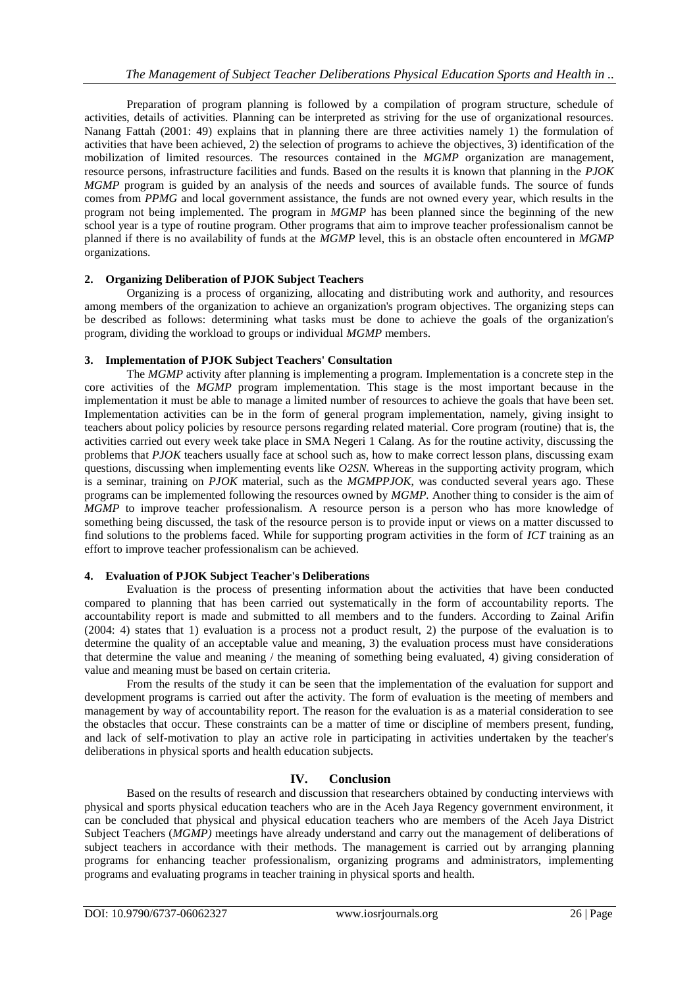Preparation of program planning is followed by a compilation of program structure, schedule of activities, details of activities. Planning can be interpreted as striving for the use of organizational resources. Nanang Fattah (2001: 49) explains that in planning there are three activities namely 1) the formulation of activities that have been achieved, 2) the selection of programs to achieve the objectives, 3) identification of the mobilization of limited resources. The resources contained in the *MGMP* organization are management, resource persons, infrastructure facilities and funds. Based on the results it is known that planning in the *PJOK MGMP* program is guided by an analysis of the needs and sources of available funds. The source of funds comes from *PPMG* and local government assistance, the funds are not owned every year, which results in the program not being implemented. The program in *MGMP* has been planned since the beginning of the new school year is a type of routine program. Other programs that aim to improve teacher professionalism cannot be planned if there is no availability of funds at the *MGMP* level, this is an obstacle often encountered in *MGMP* organizations.

## **2. Organizing Deliberation of PJOK Subject Teachers**

Organizing is a process of organizing, allocating and distributing work and authority, and resources among members of the organization to achieve an organization's program objectives. The organizing steps can be described as follows: determining what tasks must be done to achieve the goals of the organization's program, dividing the workload to groups or individual *MGMP* members.

## **3. Implementation of PJOK Subject Teachers' Consultation**

The *MGMP* activity after planning is implementing a program. Implementation is a concrete step in the core activities of the *MGMP* program implementation. This stage is the most important because in the implementation it must be able to manage a limited number of resources to achieve the goals that have been set. Implementation activities can be in the form of general program implementation, namely, giving insight to teachers about policy policies by resource persons regarding related material. Core program (routine) that is, the activities carried out every week take place in SMA Negeri 1 Calang. As for the routine activity, discussing the problems that *PJOK* teachers usually face at school such as, how to make correct lesson plans, discussing exam questions, discussing when implementing events like *O2SN*. Whereas in the supporting activity program, which is a seminar, training on *PJOK* material, such as the *MGMPPJOK*, was conducted several years ago. These programs can be implemented following the resources owned by *MGMP.* Another thing to consider is the aim of *MGMP* to improve teacher professionalism. A resource person is a person who has more knowledge of something being discussed, the task of the resource person is to provide input or views on a matter discussed to find solutions to the problems faced. While for supporting program activities in the form of *ICT* training as an effort to improve teacher professionalism can be achieved.

## **4. Evaluation of PJOK Subject Teacher's Deliberations**

Evaluation is the process of presenting information about the activities that have been conducted compared to planning that has been carried out systematically in the form of accountability reports. The accountability report is made and submitted to all members and to the funders. According to Zainal Arifin (2004: 4) states that 1) evaluation is a process not a product result, 2) the purpose of the evaluation is to determine the quality of an acceptable value and meaning, 3) the evaluation process must have considerations that determine the value and meaning / the meaning of something being evaluated, 4) giving consideration of value and meaning must be based on certain criteria.

From the results of the study it can be seen that the implementation of the evaluation for support and development programs is carried out after the activity. The form of evaluation is the meeting of members and management by way of accountability report. The reason for the evaluation is as a material consideration to see the obstacles that occur. These constraints can be a matter of time or discipline of members present, funding, and lack of self-motivation to play an active role in participating in activities undertaken by the teacher's deliberations in physical sports and health education subjects.

# **IV. Conclusion**

Based on the results of research and discussion that researchers obtained by conducting interviews with physical and sports physical education teachers who are in the Aceh Jaya Regency government environment, it can be concluded that physical and physical education teachers who are members of the Aceh Jaya District Subject Teachers (*MGMP*) meetings have already understand and carry out the management of deliberations of subject teachers in accordance with their methods. The management is carried out by arranging planning programs for enhancing teacher professionalism, organizing programs and administrators, implementing programs and evaluating programs in teacher training in physical sports and health.